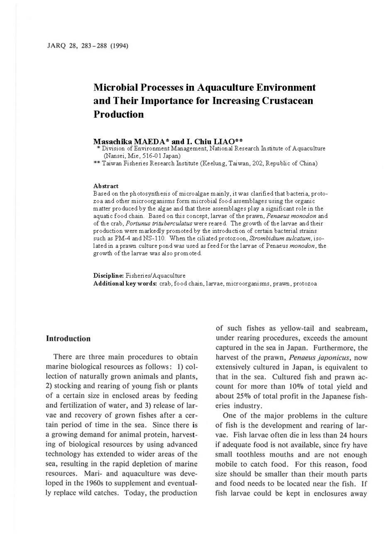# **Microbial Processes in Aquaculture Environment and Their Importance for Increasing Crustacean Production**

#### **Masachika MAEDA\* and I. Chiu LIAO\*\***

\* Division of Environment Management, National Research Institute of Aquaculture (Nansei, Mie, 516-0 I Japan)

\*\* Taiwan Fisheries Research Institute (Keelung, Taiwan, 202, Republic of China)

#### **Abstract**

Based on the photosynthesis of micro algae mainly, it was clarified that bacteria, protozoa and other microorganisms form microbial food assemblages using the organic matter produced by the algae and that these assemblages play a significant role in the aquatic food chain. Based on this concept, larvae of the prawn, *Penaeus monodon* and of the crab, *Portunus trituberculatus* were reared. The growth of the larvae and their production were markedly promoted by the introduction of certain bacterial strains such as PM-4 and NS-110. When the ciliated protozoon, *Strombidium sulcatum,* isolated in a prawn culture pond was used as feed for the larvae of Penaeus *monodon,* the growth of the larvae was also promoted.

**Discipline:** Fisheries/Aquaculture **Additional keywords:** crab, food chain, larvae, microorganisms, prawn, protozoa

## **Introduction**

There are three main procedures to obtain marine biological resources as follows: I) collection of naturally grown animals and plants, 2) stocking and rearing of young fish or plants of a certain size in enclosed areas by feeding and fertilization of water, and 3) release of larvae and recovery of grown fishes after a certain period of time in the sea. Since there is a growing demand for animal protein, harvesting of biological resources by using advanced technology has extended to wider areas of the sea, resulting in the rapid depletion of marine resources. Mari- and aquaculture was developed in the 1960s to supplement and eventually replace wild catches. Today, the production of such fishes as yellow-tail and seabream, under rearing procedures, exceeds the amount captured in the sea in Japan. Furthermore, the harvest of the prawn, *Penaeus japonicus,* now extensively cultured in Japan, is equivalent to that in the sea. Cultured fish and prawn account for more than 10% of total yield and about  $25\%$  of total profit in the Japanese fisheries industry.

One of the major problems in the culture of fish is the development and rearing of larvae. Fish larvae often die in less than 24 hours if adequate food is not available, since fry have small toothless mouths and are not enough mobile to catch food. For this reason, food size should be smaller than their mouth parts and food needs to be located near the fish. If fish larvae could be kept in enclosures away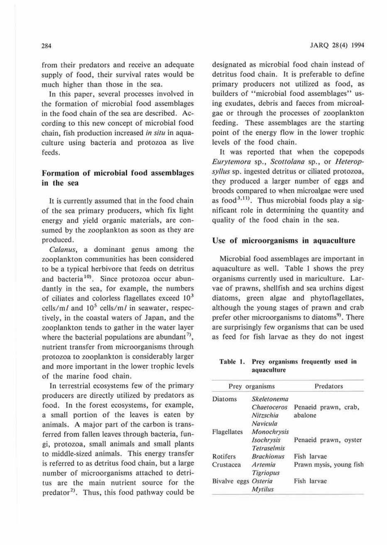from their predators and receive an adequate supply of food, their survival rates would be much higher than those in the sea.

In this paper, several processes involved in the formation of microbial food assemblages in the food chain of the sea are described. According to this new concept of microbial food chain, fish production increased *in situ* in aquaculture using bacteria and protozoa as live feeds.

# **Formation of microbial food assemblages in the sea**

It is currently assumed that in the food chain of the sea primary producers, which fix light energy and yield organic materials, are consumed by the zooplankton as soon as they are produced.

*Co/anus,* a dominant genus among the zooplankton communities has been considered. to be a typical herbivore that feeds on detritus and bacteria<sup>10</sup>. Since protozoa occur abundantly in the sea, for example, the numbers of ciliates and colorless flagellates exceed  $10<sup>3</sup>$ cells/ml and  $10^5$  cells/ml in seawater, respectively, in the coastal waters of Japan, and the zooplankton tends to gather in the water layer where the bacterial populations are abundant<sup>7</sup>, nutrient transfer from microorganisms through protozoa 10 zooplankton is considerably larger and more important in the Jower trophic levels of the marine food chain.

In terrestrial ecosystems few of the primary producers arc directly utilized by predators as food. In the forest ecosystems, for example, a small portion of the leaves is eaten by animals. A major part of the carbon is transferred from fallen leaves through bacteria, fungi, protozoa, small animals and small plants to middle-sized animals. This energy transfer is referred to as detritus food chain, but a large number of microorganisms attached to detritus are the main nutrient source for the predator<sup>2)</sup>. Thus, this food pathway could be designated as microbial food chain instead of detritus food chain. It is preferable to define primary producers not utilized as food, as builders of "microbial food assemblages" using exudates, debris and faeces from microalgae or through the processes of zooplankton feeding. These assemblages are the starting point of the energy flow in the lower trophic levels of the food chain.

It was reported that when the copepods *Eurytemora* sp., *Scottolano* sp., or *Heteropsyllus* sp. ingested detritus or ciliated protozoa, they produced a larger number of eggs and broods compared to when microalgae were used as food<sup>3,11)</sup>. Thus microbial foods play a significant role in determining the quantity and quality of the food chain in the sea.

## **Use of microorganisms in aquaculture**

Microbial food assemblages are important in aquaculture as well. Table I shows the prey organisms curremly used in mariculture. Larvae of prawns, shellfish and sea urchins digest diatoms, green algae and phytoflagellates, although the young stages of prawn and crab prefer other microorganisms to diatoms<sup>9</sup>. There are surprisingly few organisms that can be used as feed for fish larvae as they do not ingest

#### Table 1. Prey organisms frequently used in **aquaculture**

|                | Prey organisms                                         | Predators                       |
|----------------|--------------------------------------------------------|---------------------------------|
| <b>Diatoms</b> | Skeletonema<br>Chaetoceros<br>Nitzschia<br>Navicula    | Penaeid prawn, crab,<br>abalone |
| Flagellates    | Monochrysis<br><b>Isochrysis</b><br><b>Tetraselmis</b> | Penaeid prawn, oyster           |
| Rotifers       | <b>Brachionus</b>                                      | Fish larvae                     |
| Crustacea      | Artemia<br>Tigriopus                                   | Prawn mysis, young fish         |
| Bivalve eggs   | Osteria<br><b>Mytilus</b>                              | Fish larvae                     |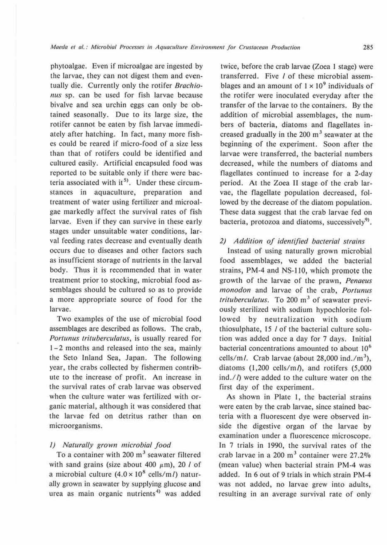phytoalgae. Even if microalgae are ingested by the larvae, they can not digest them and eventually die. Currenlly only the rotifer *Brachionus* sp. can be used for fish larvae because bivalve and sea urchin eggs can only be obtained seasonally. Due 10 its large size, the rotifer cannot be eaten by fish larvae immediately after hatching. In fact, many more fishes could be reared if micro-food of a size less than that of rotifers could be identified and cultured easily. Artificial cncapsuled food was reported to be suitable only if there were bacteria associated with it<sup>5)</sup>. Under these circumstances in aquaculture, preparation and treatment of water using fertilizer and microalgae markedly affect the survival rates of fish larvae. Even if they can survive in these early stages under unsuitable water conditions, larval feeding rates decrease and eventually death occurs due to diseases and other factors such as insufficient storage of nutrients in the larval body. Thus it is recommended that in water treatment prior to stocking, microbial food assemblages should be cultured so as to provide a more appropriate source of food for the larvae.

Two examples of the use of microbial food assemblages are described as follows. The crab, *Portunus trituberculatus*, is usually reared for 1-2 months and released into the sea, mainly the Seto Inland Sea, Japan. The following year, the crabs collected by fishermen contribute to the increase of profit. An increase in 1he survival rares of crab larvae was observed when the culture water was fertilized with organic material, although it was considered that the larvae fed on detritus rather than on microorganisms.

## J) *Naturally grown microbial food*

To a container with  $200 \text{ m}^3$  seawater filtered with sand grains (size about 400  $\mu$ m), 20 *l* of a microbial culture  $(4.0 \times 10^8 \text{ cells/m}$ *l*) naturally grown in seawater by supplying glucose and urea as main organic nutrients<sup>4)</sup> was added

twice, before the crab larvae (Zoea I stage) were transferred. Five / of these microbial assemblages and an amount of  $1 \times 10^9$  individuals of the rotifer were inoculated everyday after the transfer of ihe larvae to the containers. By the addition of microbial assemblages, the numbers of bacteria, diatoms and flagellates increased gradually in the 200  $m<sup>3</sup>$  seawater at the beginning of the experiment. Soon after the larvae were transferred, the bacterial numbers decreased, while the numbers of diatoms and flagellates continued to increase for a 2-day period. At the Zoea II stage of the crab larvae, the flagellate population decreased, followed by the decrease of the diatom population. These data suggest that the crab larvae fed on bacteria, protozoa and diatoms, successively<sup>9)</sup>.

#### *2) Addition of identified bacterial strains*

Instead of using naturally grown microbial food assemblages, we added the bacterial strains,  $PM-4$  and  $NS-110$ , which promote the growth of the larvae of the prawn, Penaeus *monodon* and larvae of the crab, *Portunus trituberculatus.* To 200 m<sup>3</sup> of seawater previously sterilized with sodium hypochlorite followed by neutralization with sodium thiosulphate, 15 / of the bacterial culture solution was added once a day for 7 days. Initial bacterial concentrations amounted to about 10<sup>6</sup> cells/m/. Crab larvae (about  $28,000$  ind./m<sup>3</sup>), diatoms  $(1,200 \text{ cells/m} / )$ , and rotifers  $(5,000$  $ind.//$ ) were added to the culture water on the first day of the experiment.

As shown in Plate I, the bacterial strains were eaten by the crab larvae, since stained bacteria with a fluorescent dye were observed inside the digestive organ of the larvae by examination under a fluorescence microscope. In 7 trials in 1990, the survival rates of the crab larvae in a 200 m<sup>3</sup> container were  $27.2\%$ (mean value) when bacterial strain PM-4 was added. In 6 out of 9 trials in which strain PM-4 was not added, no larvae grew into adults, resulting in an average survival rate of only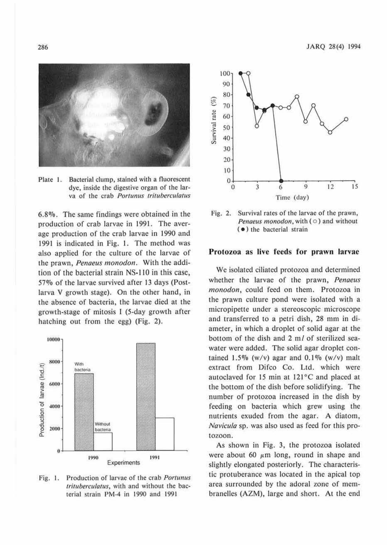

Plate 1. Bacterial clump, stained with a fluorescent dye, inside the digestive organ of the larva of the crab Portunus trituberculatus

6.8%. The same findings were obtained in the production of crab larvae in 1991. The average production of the crab larvae in 1990 and 1991 is indicated in Fig. l. The method was also applied for the culture of the larvae of the prawn, *Penaeus monodon.* With the addition of the bacterial strain NS-110 in this case, 57% of the larvae survived after 13 days (Postlarva V growth stage). On the other hand, in the absence of bacteria, the larvae died at the growth-stage of mitosis I (5-day growth after hatching out from the egg) (Fig. 2).



Fig. I. Production of larvae of the crab Portunus trituberculatus, with and without the bacterial strain PM-4 in 1990 and 1991



Fig. 2. Survival rates of the larvae of the prawn, Penaeus monodon, with  $( \circ )$  and without ( • ) the bacterial strain

## **Protozoa as live feeds for prawn larvae**

We isolated ciliated protozoa and determined whether the larvae of the prawn, *Penaeus monodon,* could feed on them. Protozoa in the prawn culture pond were isolated with a micropipette under a stereoscopic microscope and transferred to a petri dish, 28 mm in diameter, in which a droplet of solid agar at the bottom of the dish and 2 m/ of sterilized seawater were added. The solid agar droplet contained 1.5% (w/v) agar and  $0.1\%$  (w/v) malt extract from Difeo Co. Ltd. which were autoclaved for 15 min at  $121^{\circ}$ C and placed at the bottom of the dish before solidifying. The number of protozoa increased in the dish by feeding on bacteria which grew using the nutrients exuded from the agar. A diatom, *Navicu/a* sp. was also used as feed for this protozoan.

As shown in Fig. 3, the protozoa isolated were about 60  $\mu$ m long, round in shape and slightly elongated posteriorly. The characteristic protuberance was located in the apical top area surrounded by the adoral zone of membranelles (AZM), large and short. At the end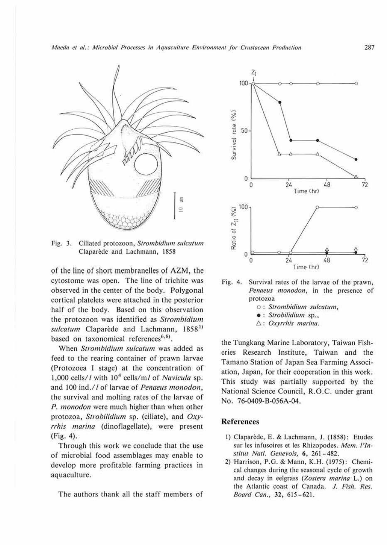

Fig. 3. Ciliated protozoon, *Strombidium sulcatum* Claparede and Lachmann, 1858

of the line of short membranelles of AZM, the cytoslome was open. The line of trichite was observed in the center of the body. Polygonal cortical platelets were attached in the posterior half of the body. Based on this observation the protozoan was identified as *Strombidiwn*  sulcatum Claparède and Lachmann, 1858<sup>1)</sup> based on taxonomical references<sup>6,8)</sup>.

When *Strombidium su/catum* was added as feed to the rearing container of prawn larvae (Protozoea I stage) at the concentration of 1,000 cells/*l* with 10<sup>4</sup> cells/m*l* of *Navicula* sp. and 100 ind./*l* of larvae of *Penaeus monodon*, the survival and molting rates of the larvae of *P. monodon* were much higher than when other protozoa, *Strobilidium* sp. (ciliate), and *Oxyrrhis marina* (dinoflagellate), were present (Fig. 4).

Through this work we conclude that the use of microbial food assemblages may enable to develop more profitable farming practices in aquaculture.

The authors thank all the staff members of



Fig. 4. Survival rates of the larvae of the prawn, Penaeus *monodon,* in the presence of protozoa

- o : Strombidium sulcatum,
- : *Strobilidium* sp.,
- $\triangle$ : *Oxyrrhis marina.*

the Tungkang Marine Laboratory, Taiwan Fisheries Research Institute, Taiwan and the Tamano Station of Japan Sea Farming Association, Japan, for their cooperation in this work. This study was partially supported by the National Science Council, R.O.C. under grant No. 76-0409-B-056A-04.

#### **References**

- 1) Claparède, E. & Lachmann, J. (1858): Etudes sur lcs infusoires ct les Rhizopodes. *Mem. l'/11 stitul Natl. Genevois, 6,* 261 -482.
- 2) Harrison, P.G. & Mann, K.H. (1975): Chemical changes during the seasonal cycle of growth and decay in eelgrass (Zosrera *marina* L.) on the Atlantic coast of Canada. J. *Fish.* Res. *Board Can.,* **32,** 615-621.